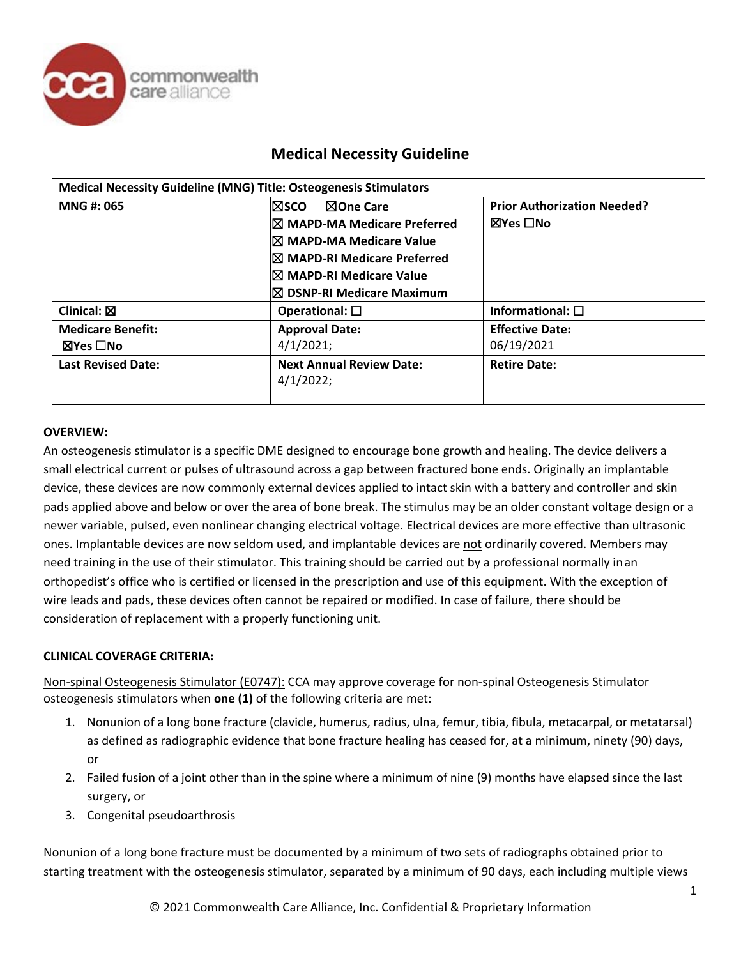

| <b>Medical Necessity Guideline (MNG) Title: Osteogenesis Stimulators</b> |                                      |                                    |  |
|--------------------------------------------------------------------------|--------------------------------------|------------------------------------|--|
| MNG #: 065                                                               | <b>冈SCO</b><br>⊠One Care             | <b>Prior Authorization Needed?</b> |  |
|                                                                          | <b>IX MAPD-MA Medicare Preferred</b> | ⊠Yes □No                           |  |
|                                                                          | I⊠ MAPD-MA Medicare Value            |                                    |  |
|                                                                          | I⊠ MAPD-RI Medicare Preferred        |                                    |  |
|                                                                          | I⊠ MAPD-RI Medicare Value            |                                    |  |
|                                                                          | $\boxtimes$ DSNP-RI Medicare Maximum |                                    |  |
| Clinical: $\boxtimes$                                                    | Operational: $\square$               | Informational: $\square$           |  |
| <b>Medicare Benefit:</b>                                                 | <b>Approval Date:</b>                | <b>Effective Date:</b>             |  |
| $\boxtimes$ Yes $\Box$ No                                                | 4/1/2021;                            | 06/19/2021                         |  |
| <b>Last Revised Date:</b>                                                | <b>Next Annual Review Date:</b>      | <b>Retire Date:</b>                |  |
|                                                                          | 4/1/2022;                            |                                    |  |
|                                                                          |                                      |                                    |  |

#### **OVERVIEW:**

An osteogenesis stimulator is a specific DME designed to encourage bone growth and healing. The device delivers a small electrical current or pulses of ultrasound across a gap between fractured bone ends. Originally an implantable device, these devices are now commonly external devices applied to intact skin with a battery and controller and skin pads applied above and below or over the area of bone break. The stimulus may be an older constant voltage design or a newer variable, pulsed, even nonlinear changing electrical voltage. Electrical devices are more effective than ultrasonic ones. Implantable devices are now seldom used, and implantable devices are not ordinarily covered. Members may need training in the use of their stimulator. This training should be carried out by a professional normally inan orthopedist's office who is certified or licensed in the prescription and use of this equipment. With the exception of wire leads and pads, these devices often cannot be repaired or modified. In case of failure, there should be consideration of replacement with a properly functioning unit.

#### **CLINICAL COVERAGE CRITERIA:**

Non-spinal Osteogenesis Stimulator (E0747): CCA may approve coverage for non-spinal Osteogenesis Stimulator osteogenesis stimulators when **one (1)** of the following criteria are met:

- 1. Nonunion of a long bone fracture (clavicle, humerus, radius, ulna, femur, tibia, fibula, metacarpal, or metatarsal) as defined as radiographic evidence that bone fracture healing has ceased for, at a minimum, ninety (90) days, or
- 2. Failed fusion of a joint other than in the spine where a minimum of nine (9) months have elapsed since the last surgery, or
- 3. Congenital pseudoarthrosis

Nonunion of a long bone fracture must be documented by a minimum of two sets of radiographs obtained prior to starting treatment with the osteogenesis stimulator, separated by a minimum of 90 days, each including multiple views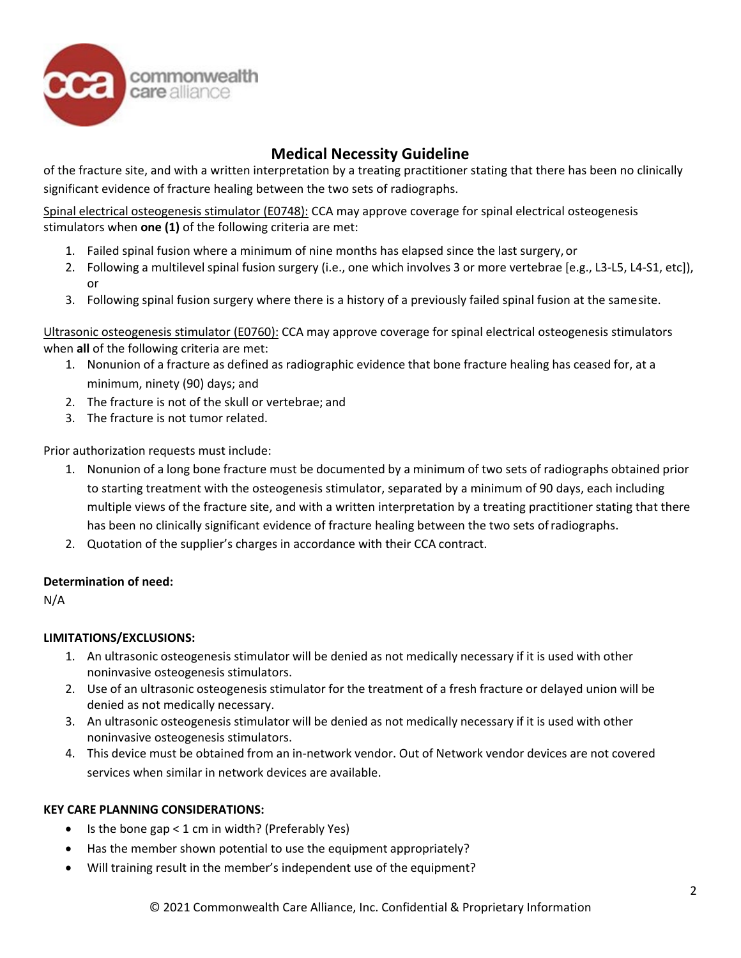

of the fracture site, and with a written interpretation by a treating practitioner stating that there has been no clinically significant evidence of fracture healing between the two sets of radiographs.

Spinal electrical osteogenesis stimulator (E0748): CCA may approve coverage for spinal electrical osteogenesis stimulators when **one (1)** of the following criteria are met:

- 1. Failed spinal fusion where a minimum of nine months has elapsed since the last surgery, or
- 2. Following a multilevel spinal fusion surgery (i.e., one which involves 3 or more vertebrae [e.g., L3-L5, L4-S1, etc]), or
- 3. Following spinal fusion surgery where there is a history of a previously failed spinal fusion at the samesite.

Ultrasonic osteogenesis stimulator (E0760): CCA may approve coverage for spinal electrical osteogenesis stimulators when **all** of the following criteria are met:

- 1. Nonunion of a fracture as defined as radiographic evidence that bone fracture healing has ceased for, at a minimum, ninety (90) days; and
- 2. The fracture is not of the skull or vertebrae; and
- 3. The fracture is not tumor related.

Prior authorization requests must include:

- 1. Nonunion of a long bone fracture must be documented by a minimum of two sets of radiographs obtained prior to starting treatment with the osteogenesis stimulator, separated by a minimum of 90 days, each including multiple views of the fracture site, and with a written interpretation by a treating practitioner stating that there has been no clinically significant evidence of fracture healing between the two sets ofradiographs.
- 2. Quotation of the supplier's charges in accordance with their CCA contract.

#### **Determination of need:**

N/A

### **LIMITATIONS/EXCLUSIONS:**

- 1. An ultrasonic osteogenesis stimulator will be denied as not medically necessary if it is used with other noninvasive osteogenesis stimulators.
- 2. Use of an ultrasonic osteogenesis stimulator for the treatment of a fresh fracture or delayed union will be denied as not medically necessary.
- 3. An ultrasonic osteogenesis stimulator will be denied as not medically necessary if it is used with other noninvasive osteogenesis stimulators.
- 4. This device must be obtained from an in-network vendor. Out of Network vendor devices are not covered services when similar in network devices are available.

#### **KEY CARE PLANNING CONSIDERATIONS:**

- Is the bone gap  $<$  1 cm in width? (Preferably Yes)
- Has the member shown potential to use the equipment appropriately?
- Will training result in the member's independent use of the equipment?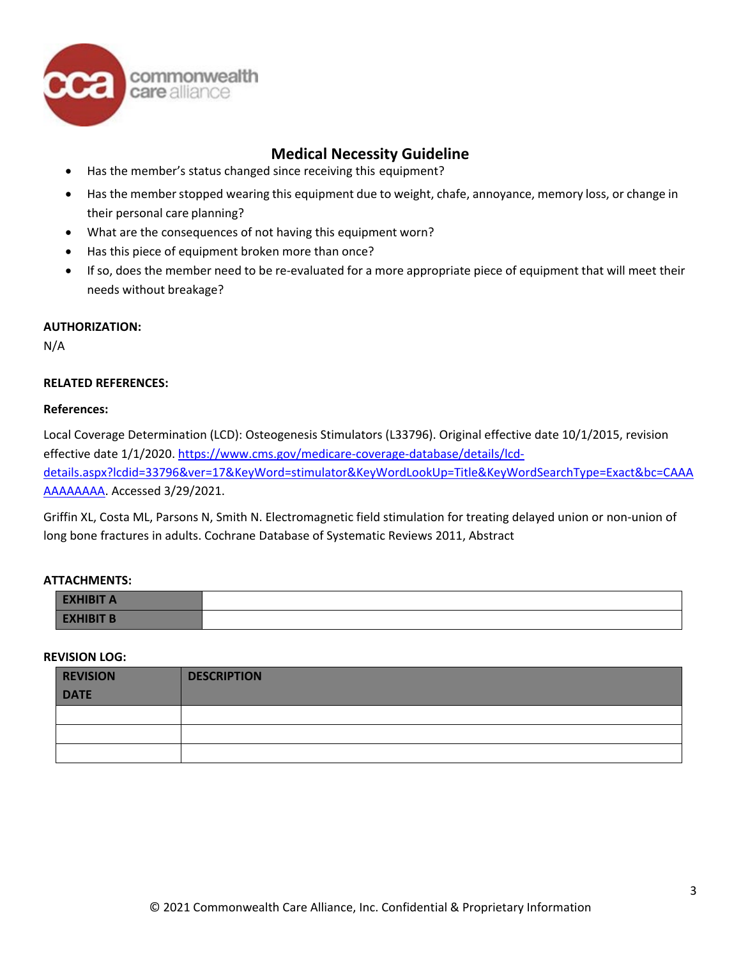

- Has the member's status changed since receiving this equipment?
- Has the memberstopped wearing this equipment due to weight, chafe, annoyance, memory loss, or change in their personal care planning?
- What are the consequences of not having this equipment worn?
- Has this piece of equipment broken more than once?
- If so, does the member need to be re-evaluated for a more appropriate piece of equipment that will meet their needs without breakage?

#### **AUTHORIZATION:**

N/A

#### **RELATED REFERENCES:**

#### **References:**

Local Coverage Determination (LCD): Osteogenesis Stimulators (L33796). Original effective date 10/1/2015, revision effective date 1/1/2020. [https://www.cms.gov/medicare-coverage-database/details/lcd](https://www.cms.gov/medicare-coverage-database/details/lcd-details.aspx?lcdid=33796&ver=17&KeyWord=stimulator&KeyWordLookUp=Title&KeyWordSearchType=Exact&bc=CAAAAAAAAAAA)[details.aspx?lcdid=33796&ver=17&KeyWord=stimulator&KeyWordLookUp=Title&KeyWordSearchType=Exact&bc=CAAA](https://www.cms.gov/medicare-coverage-database/details/lcd-details.aspx?lcdid=33796&ver=17&KeyWord=stimulator&KeyWordLookUp=Title&KeyWordSearchType=Exact&bc=CAAAAAAAAAAA) [AAAAAAAA. A](https://www.cms.gov/medicare-coverage-database/details/lcd-details.aspx?lcdid=33796&ver=17&KeyWord=stimulator&KeyWordLookUp=Title&KeyWordSearchType=Exact&bc=CAAAAAAAAAAA)ccessed 3/29/2021.

Griffin XL, Costa ML, Parsons N, Smith N. Electromagnetic field stimulation for treating delayed union or non-union of long bone fractures in adults. Cochrane Database of Systematic Reviews 2011, Abstract

#### **ATTACHMENTS:**

| <b>EXHIBIT A</b> |  |
|------------------|--|
| <b>EXHIBIT B</b> |  |

#### **REVISION LOG:**

| <b>REVISION</b> | <b>DESCRIPTION</b> |
|-----------------|--------------------|
| <b>DATE</b>     |                    |
|                 |                    |
|                 |                    |
|                 |                    |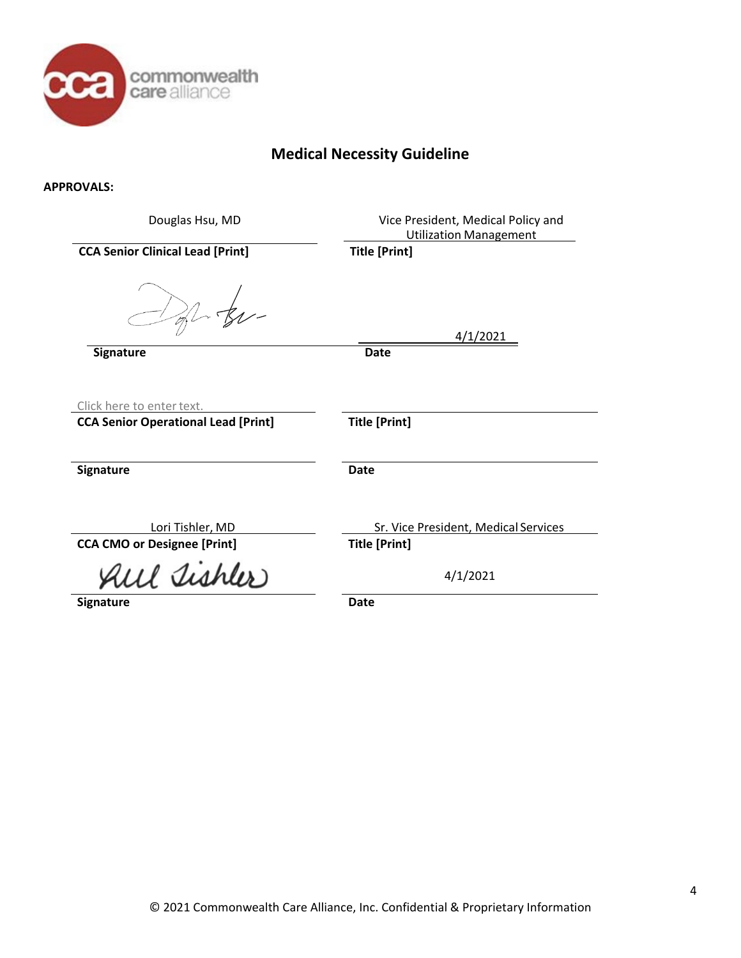

#### **APPROVALS:**

| Douglas Hsu, MD                                                         | Vice President, Medical Policy and<br><b>Utilization Management</b> |
|-------------------------------------------------------------------------|---------------------------------------------------------------------|
| <b>CCA Senior Clinical Lead [Print]</b>                                 | <b>Title [Print]</b>                                                |
| $-$ tu-                                                                 | 4/1/2021                                                            |
| Signature                                                               | <b>Date</b>                                                         |
| Click here to enter text.<br><b>CCA Senior Operational Lead [Print]</b> | <b>Title [Print]</b>                                                |
| Signature                                                               | <b>Date</b>                                                         |
| Lori Tishler, MD                                                        | Sr. Vice President, Medical Services                                |
| <b>CCA CMO or Designee [Print]</b>                                      | <b>Title [Print]</b>                                                |
| All Tishler                                                             | 4/1/2021                                                            |
| Signature                                                               | <b>Date</b>                                                         |